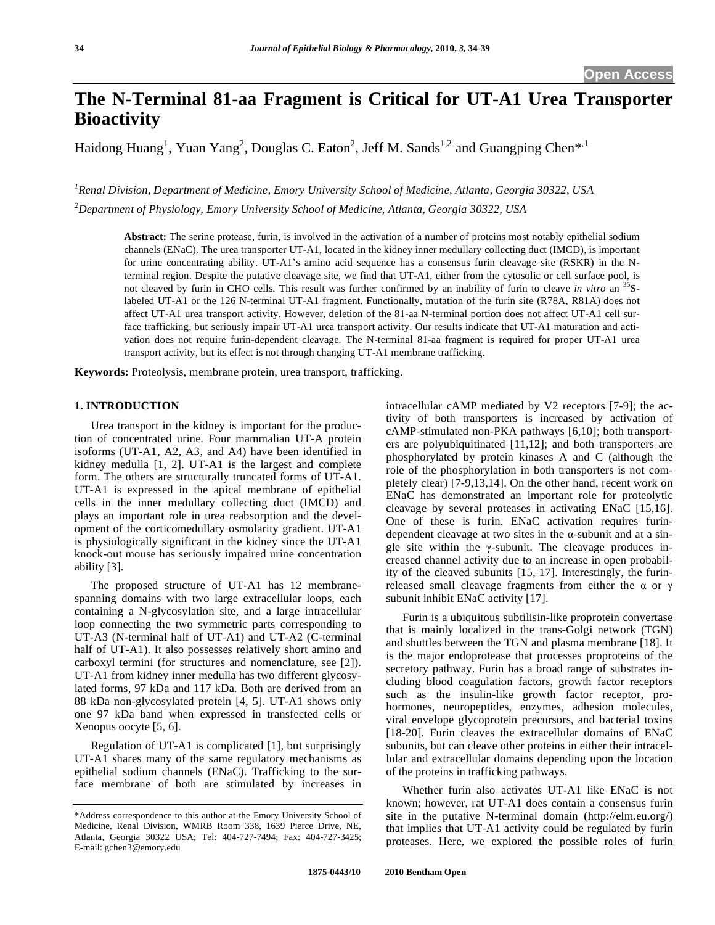# **The N-Terminal 81-aa Fragment is Critical for UT-A1 Urea Transporter Bioactivity**

Haidong Huang<sup>1</sup>, Yuan Yang<sup>2</sup>, Douglas C. Eaton<sup>2</sup>, Jeff M. Sands<sup>1,2</sup> and Guangping Chen<sup>\*,1</sup>

*1 Renal Division, Department of Medicine, Emory University School of Medicine, Atlanta, Georgia 30322, USA 2 Department of Physiology, Emory University School of Medicine, Atlanta, Georgia 30322, USA* 

**Abstract:** The serine protease, furin, is involved in the activation of a number of proteins most notably epithelial sodium channels (ENaC). The urea transporter UT-A1, located in the kidney inner medullary collecting duct (IMCD), is important for urine concentrating ability. UT-A1's amino acid sequence has a consensus furin cleavage site (RSKR) in the Nterminal region. Despite the putative cleavage site, we find that UT-A1, either from the cytosolic or cell surface pool, is not cleaved by furin in CHO cells. This result was further confirmed by an inability of furin to cleave *in vitro* an <sup>35</sup>Slabeled UT-A1 or the 126 N-terminal UT-A1 fragment. Functionally, mutation of the furin site (R78A, R81A) does not affect UT-A1 urea transport activity. However, deletion of the 81-aa N-terminal portion does not affect UT-A1 cell surface trafficking, but seriously impair UT-A1 urea transport activity. Our results indicate that UT-A1 maturation and activation does not require furin-dependent cleavage. The N-terminal 81-aa fragment is required for proper UT-A1 urea transport activity, but its effect is not through changing UT-A1 membrane trafficking.

**Keywords:** Proteolysis, membrane protein, urea transport, trafficking.

#### **1. INTRODUCTION**

 Urea transport in the kidney is important for the production of concentrated urine. Four mammalian UT-A protein isoforms (UT-A1, A2, A3, and A4) have been identified in kidney medulla [1, 2]. UT-A1 is the largest and complete form. The others are structurally truncated forms of UT-A1. UT-A1 is expressed in the apical membrane of epithelial cells in the inner medullary collecting duct (IMCD) and plays an important role in urea reabsorption and the development of the corticomedullary osmolarity gradient. UT-A1 is physiologically significant in the kidney since the UT-A1 knock-out mouse has seriously impaired urine concentration ability [3].

 The proposed structure of UT-A1 has 12 membranespanning domains with two large extracellular loops, each containing a N-glycosylation site, and a large intracellular loop connecting the two symmetric parts corresponding to UT-A3 (N-terminal half of UT-A1) and UT-A2 (C-terminal half of UT-A1). It also possesses relatively short amino and carboxyl termini (for structures and nomenclature, see [2]). UT-A1 from kidney inner medulla has two different glycosylated forms, 97 kDa and 117 kDa. Both are derived from an 88 kDa non-glycosylated protein [4, 5]. UT-A1 shows only one 97 kDa band when expressed in transfected cells or Xenopus oocyte [5, 6].

 Regulation of UT-A1 is complicated [1], but surprisingly UT-A1 shares many of the same regulatory mechanisms as epithelial sodium channels (ENaC). Trafficking to the surface membrane of both are stimulated by increases in intracellular cAMP mediated by V2 receptors [7-9]; the activity of both transporters is increased by activation of cAMP-stimulated non-PKA pathways [6,10]; both transporters are polyubiquitinated [11,12]; and both transporters are phosphorylated by protein kinases A and C (although the role of the phosphorylation in both transporters is not completely clear) [7-9,13,14]. On the other hand, recent work on ENaC has demonstrated an important role for proteolytic cleavage by several proteases in activating ENaC [15,16]. One of these is furin. ENaC activation requires furindependent cleavage at two sites in the  $\alpha$ -subunit and at a single site within the  $\gamma$ -subunit. The cleavage produces increased channel activity due to an increase in open probability of the cleaved subunits [15, 17]. Interestingly, the furinreleased small cleavage fragments from either the  $\alpha$  or  $\gamma$ subunit inhibit ENaC activity [17].

 Furin is a ubiquitous subtilisin-like proprotein convertase that is mainly localized in the trans-Golgi network (TGN) and shuttles between the TGN and plasma membrane [18]. It is the major endoprotease that processes proproteins of the secretory pathway. Furin has a broad range of substrates including blood coagulation factors, growth factor receptors such as the insulin-like growth factor receptor, prohormones, neuropeptides, enzymes, adhesion molecules, viral envelope glycoprotein precursors, and bacterial toxins [18-20]. Furin cleaves the extracellular domains of ENaC subunits, but can cleave other proteins in either their intracellular and extracellular domains depending upon the location of the proteins in trafficking pathways.

 Whether furin also activates UT-A1 like ENaC is not known; however, rat UT-A1 does contain a consensus furin site in the putative N-terminal domain (http://elm.eu.org/) that implies that UT-A1 activity could be regulated by furin proteases. Here, we explored the possible roles of furin

<sup>\*</sup>Address correspondence to this author at the Emory University School of Medicine, Renal Division, WMRB Room 338, 1639 Pierce Drive, NE, Atlanta, Georgia 30322 USA; Tel: 404-727-7494; Fax: 404-727-3425; E-mail: gchen3@emory.edu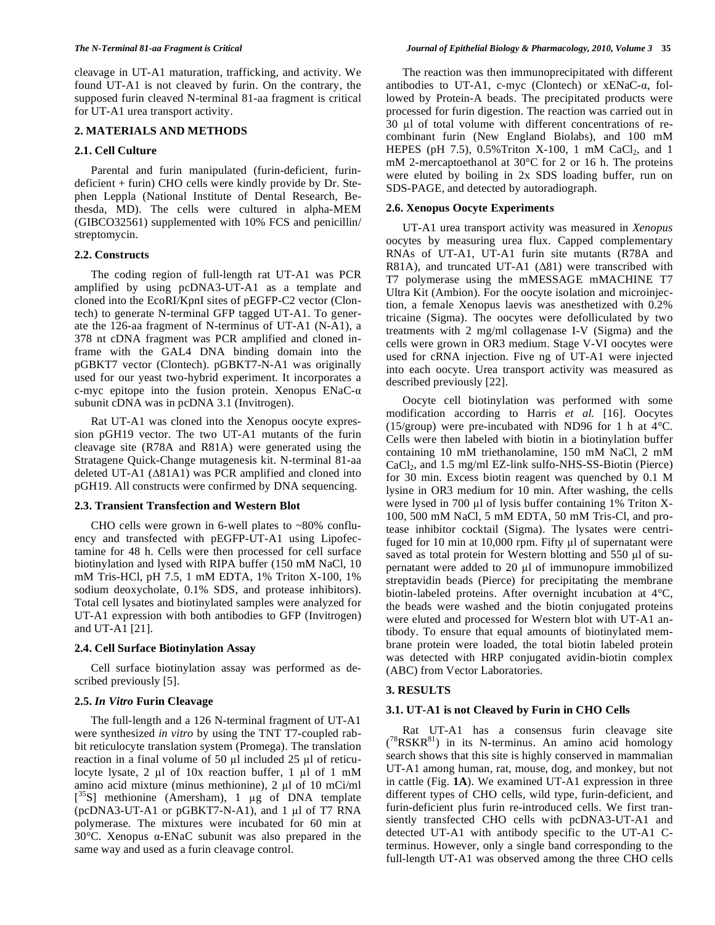cleavage in UT-A1 maturation, trafficking, and activity. We found UT-A1 is not cleaved by furin. On the contrary, the supposed furin cleaved N-terminal 81-aa fragment is critical for UT-A1 urea transport activity.

# **2. MATERIALS AND METHODS**

# **2.1. Cell Culture**

 Parental and furin manipulated (furin-deficient, furindeficient + furin) CHO cells were kindly provide by Dr. Stephen Leppla (National Institute of Dental Research, Bethesda, MD). The cells were cultured in alpha-MEM (GIBCO32561) supplemented with 10% FCS and penicillin/ streptomycin.

# **2.2. Constructs**

 The coding region of full-length rat UT-A1 was PCR amplified by using pcDNA3-UT-A1 as a template and cloned into the EcoRI/KpnI sites of pEGFP-C2 vector (Clontech) to generate N-terminal GFP tagged UT-A1. To generate the 126-aa fragment of N-terminus of UT-A1 (N-A1), a 378 nt cDNA fragment was PCR amplified and cloned inframe with the GAL4 DNA binding domain into the pGBKT7 vector (Clontech). pGBKT7-N-A1 was originally used for our yeast two-hybrid experiment. It incorporates a c-myc epitope into the fusion protein. Xenopus  $ENaC-\alpha$ subunit cDNA was in pcDNA 3.1 (Invitrogen).

 Rat UT-A1 was cloned into the Xenopus oocyte expression pGH19 vector. The two UT-A1 mutants of the furin cleavage site (R78A and R81A) were generated using the Stratagene Quick-Change mutagenesis kit. N-terminal 81-aa deleted UT-A1  $(\Delta 81A1)$  was PCR amplified and cloned into pGH19. All constructs were confirmed by DNA sequencing.

# **2.3. Transient Transfection and Western Blot**

CHO cells were grown in 6-well plates to  $~80\%$  confluency and transfected with pEGFP-UT-A1 using Lipofectamine for 48 h. Cells were then processed for cell surface biotinylation and lysed with RIPA buffer (150 mM NaCl, 10 mM Tris-HCl, pH 7.5, 1 mM EDTA, 1% Triton X-100, 1% sodium deoxycholate, 0.1% SDS, and protease inhibitors). Total cell lysates and biotinylated samples were analyzed for UT-A1 expression with both antibodies to GFP (Invitrogen) and UT-A1 [21].

# **2.4. Cell Surface Biotinylation Assay**

 Cell surface biotinylation assay was performed as described previously [5].

# **2.5.** *In Vitro* **Furin Cleavage**

 The full-length and a 126 N-terminal fragment of UT-A1 were synthesized *in vitro* by using the TNT T7-coupled rabbit reticulocyte translation system (Promega). The translation reaction in a final volume of 50  $\mu$ l included 25  $\mu$ l of reticulocyte lysate, 2  $\mu$ l of 10x reaction buffer, 1  $\mu$ l of 1 mM amino acid mixture (minus methionine),  $2 \mu l$  of 10 mCi/ml [ ${}^{35}$ S] methionine (Amersham), 1 µg of DNA template (pcDNA3-UT-A1 or pGBKT7-N-A1), and  $1 \mu l$  of T7 RNA polymerase. The mixtures were incubated for 60 min at 30 $^{\circ}$ C. Xenopus  $\alpha$ -ENaC subunit was also prepared in the same way and used as a furin cleavage control.

 The reaction was then immunoprecipitated with different antibodies to UT-A1, c-myc (Clontech) or  $xENaC-a$ , followed by Protein-A beads. The precipitated products were processed for furin digestion. The reaction was carried out in 30 ul of total volume with different concentrations of recombinant furin (New England Biolabs), and 100 mM HEPES (pH  $7.5$ ), 0.5% Triton X-100, 1 mM CaCl<sub>2</sub>, and 1 mM 2-mercaptoethanol at 30°C for 2 or 16 h. The proteins were eluted by boiling in 2x SDS loading buffer, run on SDS-PAGE, and detected by autoradiograph.

# **2.6. Xenopus Oocyte Experiments**

 UT-A1 urea transport activity was measured in *Xenopus* oocytes by measuring urea flux. Capped complementary RNAs of UT-A1, UT-A1 furin site mutants (R78A and R81A), and truncated UT-A1  $(\Delta 81)$  were transcribed with T7 polymerase using the mMESSAGE mMACHINE T7 Ultra Kit (Ambion). For the oocyte isolation and microinjection, a female Xenopus laevis was anesthetized with 0.2% tricaine (Sigma). The oocytes were defolliculated by two treatments with 2 mg/ml collagenase I-V (Sigma) and the cells were grown in OR3 medium. Stage V-VI oocytes were used for cRNA injection. Five ng of UT-A1 were injected into each oocyte. Urea transport activity was measured as described previously [22].

 Oocyte cell biotinylation was performed with some modification according to Harris *et al.* [16]. Oocytes (15/group) were pre-incubated with ND96 for 1 h at  $4^{\circ}$ C. Cells were then labeled with biotin in a biotinylation buffer containing 10 mM triethanolamine, 150 mM NaCl, 2 mM CaCl<sub>2</sub>, and 1.5 mg/ml EZ-link sulfo-NHS-SS-Biotin (Pierce) for 30 min. Excess biotin reagent was quenched by 0.1 M lysine in OR3 medium for 10 min. After washing, the cells were lysed in 700  $\mu$ l of lysis buffer containing 1% Triton X-100, 500 mM NaCl, 5 mM EDTA, 50 mM Tris-Cl, and protease inhibitor cocktail (Sigma). The lysates were centrifuged for 10 min at  $10,000$  rpm. Fifty  $\mu$ l of supernatant were saved as total protein for Western blotting and 550 ul of supernatant were added to  $20 \mu l$  of immunopure immobilized streptavidin beads (Pierce) for precipitating the membrane biotin-labeled proteins. After overnight incubation at 4°C, the beads were washed and the biotin conjugated proteins were eluted and processed for Western blot with UT-A1 antibody. To ensure that equal amounts of biotinylated membrane protein were loaded, the total biotin labeled protein was detected with HRP conjugated avidin-biotin complex (ABC) from Vector Laboratories.

# **3. RESULTS**

# **3.1. UT-A1 is not Cleaved by Furin in CHO Cells**

 Rat UT-A1 has a consensus furin cleavage site  $(^{78}RSKR^{81})$  in its N-terminus. An amino acid homology search shows that this site is highly conserved in mammalian UT-A1 among human, rat, mouse, dog, and monkey, but not in cattle (Fig. **1A**). We examined UT-A1 expression in three different types of CHO cells, wild type, furin-deficient, and furin-deficient plus furin re-introduced cells. We first transiently transfected CHO cells with pcDNA3-UT-A1 and detected UT-A1 with antibody specific to the UT-A1 Cterminus. However, only a single band corresponding to the full-length UT-A1 was observed among the three CHO cells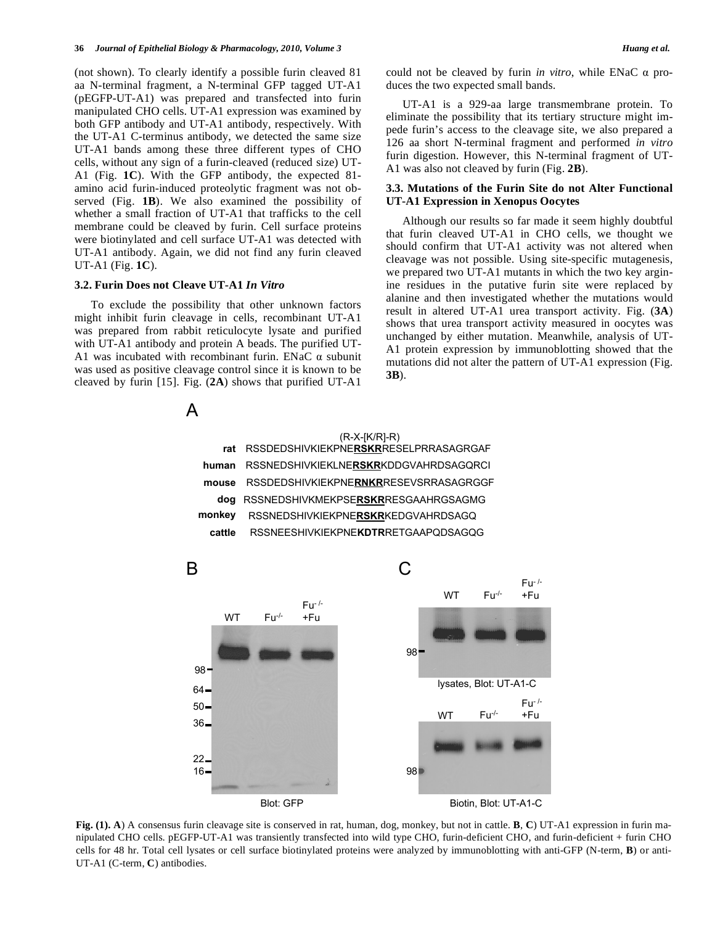(not shown). To clearly identify a possible furin cleaved 81 aa N-terminal fragment, a N-terminal GFP tagged UT-A1 (pEGFP-UT-A1) was prepared and transfected into furin manipulated CHO cells. UT-A1 expression was examined by both GFP antibody and UT-A1 antibody, respectively. With the UT-A1 C-terminus antibody, we detected the same size UT-A1 bands among these three different types of CHO cells, without any sign of a furin-cleaved (reduced size) UT-A1 (Fig. **1C**). With the GFP antibody, the expected 81 amino acid furin-induced proteolytic fragment was not observed (Fig. **1B**). We also examined the possibility of whether a small fraction of UT-A1 that trafficks to the cell membrane could be cleaved by furin. Cell surface proteins were biotinylated and cell surface UT-A1 was detected with UT-A1 antibody. Again, we did not find any furin cleaved UT-A1 (Fig. **1C**).

## **3.2. Furin Does not Cleave UT-A1** *In Vitro*

 To exclude the possibility that other unknown factors might inhibit furin cleavage in cells, recombinant UT-A1 was prepared from rabbit reticulocyte lysate and purified with UT-A1 antibody and protein A beads. The purified UT-A1 was incubated with recombinant furin. ENaC  $\alpha$  subunit was used as positive cleavage control since it is known to be cleaved by furin [15]. Fig. (**2A**) shows that purified UT-A1

could not be cleaved by furin *in vitro*, while  $ENaC \alpha$  produces the two expected small bands.

 UT-A1 is a 929-aa large transmembrane protein. To eliminate the possibility that its tertiary structure might impede furin's access to the cleavage site, we also prepared a 126 aa short N-terminal fragment and performed *in vitro* furin digestion. However, this N-terminal fragment of UT-A1 was also not cleaved by furin (Fig. **2B**).

### **3.3. Mutations of the Furin Site do not Alter Functional UT-A1 Expression in Xenopus Oocytes**

 Although our results so far made it seem highly doubtful that furin cleaved UT-A1 in CHO cells, we thought we should confirm that UT-A1 activity was not altered when cleavage was not possible. Using site-specific mutagenesis, we prepared two UT-A1 mutants in which the two key arginine residues in the putative furin site were replaced by alanine and then investigated whether the mutations would result in altered UT-A1 urea transport activity. Fig. (**3A**) shows that urea transport activity measured in oocytes was unchanged by either mutation. Meanwhile, analysis of UT-A1 protein expression by immunoblotting showed that the mutations did not alter the pattern of UT-A1 expression (Fig. **3B**).



|        | $(R-X-[K/R]-R)$                       |
|--------|---------------------------------------|
| rat    | RSSDEDSHIVKIEKPNERSKRRESELPRRASAGRGAF |
| human  | RSSNEDSHIVKIEKLNERSKRKDDGVAHRDSAGQRCI |
| mouse  | RSSDEDSHIVKIEKPNERNKRRESEVSRRASAGRGGF |
| doa    | RSSNEDSHIVKMEKPSERSKRRESGAAHRGSAGMG   |
| monkev | RSSNEDSHIVKIEKPNERSKRKEDGVAHRDSAGQ    |
| cattle | RSSNEESHIVKIEKPNEKDTRRETGAAPQDSAGQG   |
|        |                                       |



**Fig. (1). A**) A consensus furin cleavage site is conserved in rat, human, dog, monkey, but not in cattle. **B**, **C**) UT-A1 expression in furin manipulated CHO cells. pEGFP-UT-A1 was transiently transfected into wild type CHO, furin-deficient CHO, and furin-deficient + furin CHO cells for 48 hr. Total cell lysates or cell surface biotinylated proteins were analyzed by immunoblotting with anti-GFP (N-term, **B**) or anti-UT-A1 (C-term, **C**) antibodies.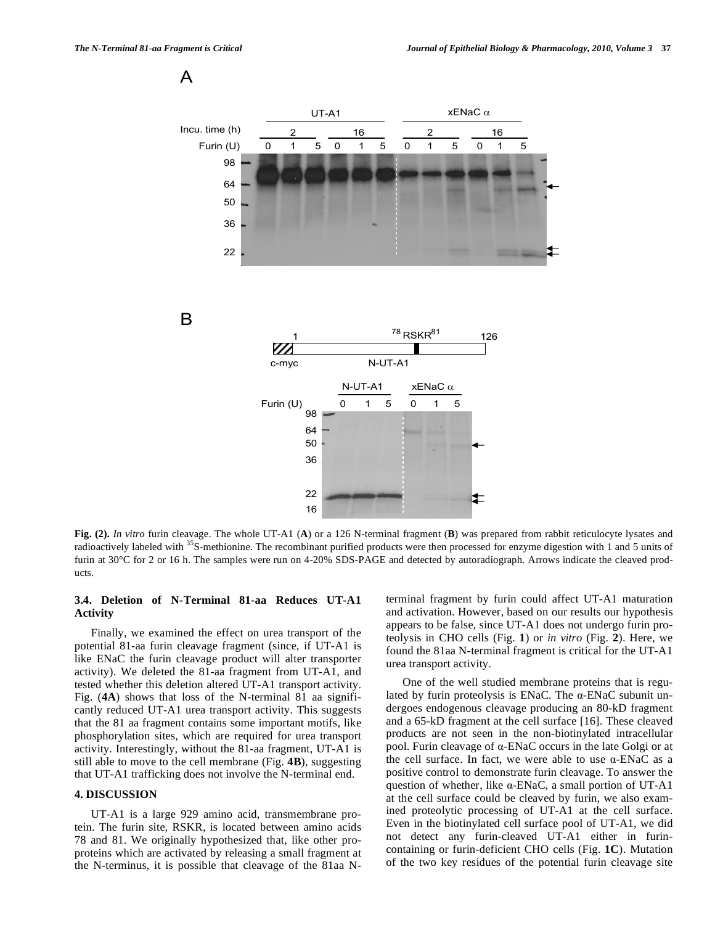A



**Fig. (2).** *In vitro* furin cleavage. The whole UT-A1 (**A**) or a 126 N-terminal fragment (**B**) was prepared from rabbit reticulocyte lysates and radioactively labeled with <sup>35</sup>S-methionine. The recombinant purified products were then processed for enzyme digestion with 1 and 5 units of furin at 30°C for 2 or 16 h. The samples were run on 4-20% SDS-PAGE and detected by autoradiograph. Arrows indicate the cleaved products.

# **3.4. Deletion of N-Terminal 81-aa Reduces UT-A1 Activity**

 Finally, we examined the effect on urea transport of the potential 81-aa furin cleavage fragment (since, if UT-A1 is like ENaC the furin cleavage product will alter transporter activity). We deleted the 81-aa fragment from UT-A1, and tested whether this deletion altered UT-A1 transport activity. Fig. (**4A**) shows that loss of the N-terminal 81 aa significantly reduced UT-A1 urea transport activity. This suggests that the 81 aa fragment contains some important motifs, like phosphorylation sites, which are required for urea transport activity. Interestingly, without the 81-aa fragment, UT-A1 is still able to move to the cell membrane (Fig. **4B**), suggesting that UT-A1 trafficking does not involve the N-terminal end.

# **4. DISCUSSION**

 UT-A1 is a large 929 amino acid, transmembrane protein. The furin site, RSKR, is located between amino acids 78 and 81. We originally hypothesized that, like other proproteins which are activated by releasing a small fragment at the N-terminus, it is possible that cleavage of the 81aa N- terminal fragment by furin could affect UT-A1 maturation and activation. However, based on our results our hypothesis appears to be false, since UT-A1 does not undergo furin proteolysis in CHO cells (Fig. **1**) or *in vitro* (Fig. **2**). Here, we found the 81aa N-terminal fragment is critical for the UT-A1 urea transport activity.

 One of the well studied membrane proteins that is regulated by furin proteolysis is ENaC. The  $\alpha$ -ENaC subunit undergoes endogenous cleavage producing an 80-kD fragment and a 65-kD fragment at the cell surface [16]. These cleaved products are not seen in the non-biotinylated intracellular pool. Furin cleavage of  $\alpha$ -ENaC occurs in the late Golgi or at the cell surface. In fact, we were able to use  $\alpha$ -ENaC as a positive control to demonstrate furin cleavage. To answer the question of whether, like  $\alpha$ -ENaC, a small portion of UT-A1 at the cell surface could be cleaved by furin, we also examined proteolytic processing of UT-A1 at the cell surface. Even in the biotinylated cell surface pool of UT-A1, we did not detect any furin-cleaved UT-A1 either in furincontaining or furin-deficient CHO cells (Fig. **1C**). Mutation of the two key residues of the potential furin cleavage site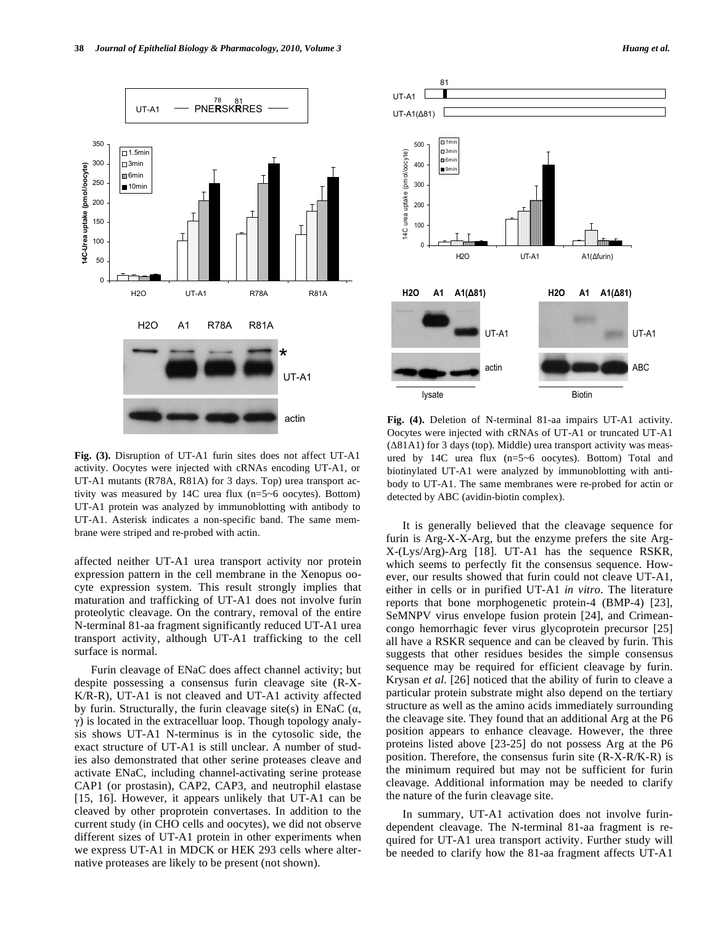

**Fig. (3).** Disruption of UT-A1 furin sites does not affect UT-A1 activity. Oocytes were injected with cRNAs encoding UT-A1, or UT-A1 mutants (R78A, R81A) for 3 days. Top) urea transport activity was measured by 14C urea flux (n=5~6 oocytes). Bottom) UT-A1 protein was analyzed by immunoblotting with antibody to UT-A1. Asterisk indicates a non-specific band. The same membrane were striped and re-probed with actin.

affected neither UT-A1 urea transport activity nor protein expression pattern in the cell membrane in the Xenopus oocyte expression system. This result strongly implies that maturation and trafficking of UT-A1 does not involve furin proteolytic cleavage. On the contrary, removal of the entire N-terminal 81-aa fragment significantly reduced UT-A1 urea transport activity, although UT-A1 trafficking to the cell surface is normal.

 Furin cleavage of ENaC does affect channel activity; but despite possessing a consensus furin cleavage site (R-X-K/R-R), UT-A1 is not cleaved and UT-A1 activity affected by furin. Structurally, the furin cleavage site(s) in ENaC  $(\alpha, \beta)$  $\gamma$ ) is located in the extracelluar loop. Though topology analysis shows UT-A1 N-terminus is in the cytosolic side, the exact structure of UT-A1 is still unclear. A number of studies also demonstrated that other serine proteases cleave and activate ENaC, including channel-activating serine protease CAP1 (or prostasin), CAP2, CAP3, and neutrophil elastase [15, 16]. However, it appears unlikely that UT-A1 can be cleaved by other proprotein convertases. In addition to the current study (in CHO cells and oocytes), we did not observe different sizes of UT-A1 protein in other experiments when we express UT-A1 in MDCK or HEK 293 cells where alternative proteases are likely to be present (not shown).



**Fig. (4).** Deletion of N-terminal 81-aa impairs UT-A1 activity. Oocytes were injected with cRNAs of UT-A1 or truncated UT-A1  $(\Delta 81A1)$  for 3 days (top). Middle) urea transport activity was measured by 14C urea flux (n=5~6 oocytes). Bottom) Total and biotinylated UT-A1 were analyzed by immunoblotting with antibody to UT-A1. The same membranes were re-probed for actin or detected by ABC (avidin-biotin complex).

 It is generally believed that the cleavage sequence for furin is Arg-X-X-Arg, but the enzyme prefers the site Arg-X-(Lys/Arg)-Arg [18]. UT-A1 has the sequence RSKR, which seems to perfectly fit the consensus sequence. However, our results showed that furin could not cleave UT-A1, either in cells or in purified UT-A1 *in vitro*. The literature reports that bone morphogenetic protein-4 (BMP-4) [23], SeMNPV virus envelope fusion protein [24], and Crimeancongo hemorrhagic fever virus glycoprotein precursor [25] all have a RSKR sequence and can be cleaved by furin. This suggests that other residues besides the simple consensus sequence may be required for efficient cleavage by furin. Krysan *et al.* [26] noticed that the ability of furin to cleave a particular protein substrate might also depend on the tertiary structure as well as the amino acids immediately surrounding the cleavage site. They found that an additional Arg at the P6 position appears to enhance cleavage. However, the three proteins listed above [23-25] do not possess Arg at the P6 position. Therefore, the consensus furin site (R-X-R/K-R) is the minimum required but may not be sufficient for furin cleavage. Additional information may be needed to clarify the nature of the furin cleavage site.

 In summary, UT-A1 activation does not involve furindependent cleavage. The N-terminal 81-aa fragment is required for UT-A1 urea transport activity. Further study will be needed to clarify how the 81-aa fragment affects UT-A1